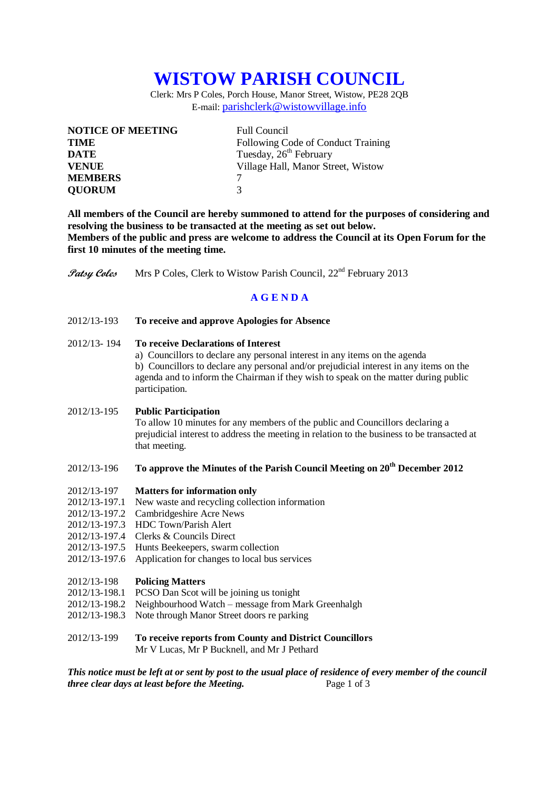# **WISTOW PARISH COUNCIL**

Clerk: Mrs P Coles, Porch House, Manor Street, Wistow, PE28 2QB E-mail: [parishclerk@wistowvillage.info](mailto:parishclerk@wistowvillage.info)

| <b>NOTICE OF MEETING</b> | <b>Full Council</b>                |
|--------------------------|------------------------------------|
| <b>TIME</b>              | Following Code of Conduct Training |
| <b>DATE</b>              | Tuesday, 26 <sup>th</sup> February |
| <b>VENUE</b>             | Village Hall, Manor Street, Wistow |
| <b>MEMBERS</b>           |                                    |
| <b>QUORUM</b>            | $\mathcal{R}$                      |

**All members of the Council are hereby summoned to attend for the purposes of considering and resolving the business to be transacted at the meeting as set out below. Members of the public and press are welcome to address the Council at its Open Forum for the first 10 minutes of the meeting time.**

**Patsy Coles** Mrs P Coles, Clerk to Wistow Parish Council, 22<sup>nd</sup> February 2013

## **A G E N D A**

2012/13-193 **To receive and approve Apologies for Absence**

## 2012/13- 194 **To receive Declarations of Interest**

a) Councillors to declare any personal interest in any items on the agenda b) Councillors to declare any personal and/or prejudicial interest in any items on the agenda and to inform the Chairman if they wish to speak on the matter during public participation.

### 2012/13-195 **Public Participation**

To allow 10 minutes for any members of the public and Councillors declaring a prejudicial interest to address the meeting in relation to the business to be transacted at that meeting.

## 2012/13-196 **To approve the Minutes of the Parish Council Meeting on 20th December 2012**

### 2012/13-197 **Matters for information only**

- 2012/13-197.1 New waste and recycling collection information
- 2012/13-197.2 Cambridgeshire Acre News
- 2012/13-197.3 HDC Town/Parish Alert
- 2012/13-197.4 Clerks & Councils Direct
- 2012/13-197.5 Hunts Beekeepers, swarm collection
- 2012/13-197.6 Application for changes to local bus services

### 2012/13-198 **Policing Matters**

- 2012/13-198.1 PCSO Dan Scot will be joining us tonight
- 2012/13-198.2 Neighbourhood Watch message from Mark Greenhalgh
- 2012/13-198.3 Note through Manor Street doors re parking
- 2012/13-199 **To receive reports from County and District Councillors** Mr V Lucas, Mr P Bucknell, and Mr J Pethard

*This notice must be left at or sent by post to the usual place of residence of every member of the council three clear days at least before the Meeting.* Page 1 of 3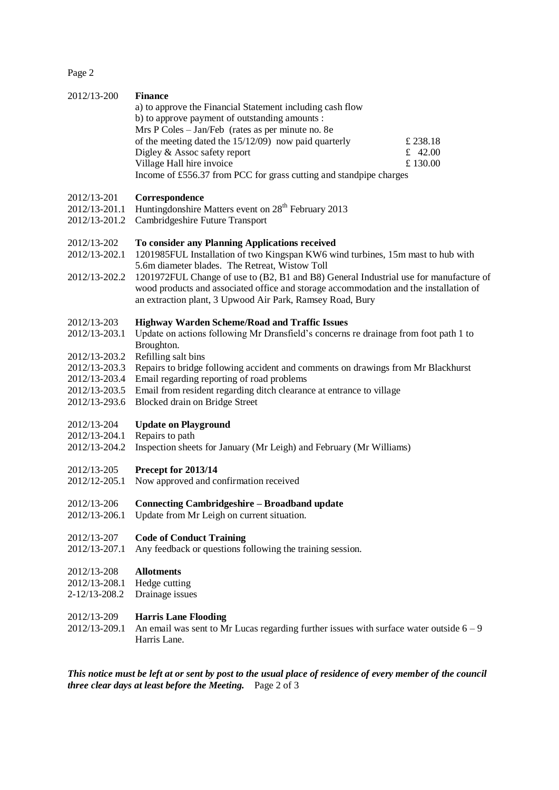Page 2

| 2012/13-200                                                                                                       | <b>Finance</b><br>a) to approve the Financial Statement including cash flow<br>b) to approve payment of outstanding amounts :<br>Mrs P Coles - Jan/Feb (rates as per minute no. 8e<br>of the meeting dated the $15/12/09$ now paid quarterly<br>Digley & Assoc safety report<br>Village Hall hire invoice<br>Income of £556.37 from PCC for grass cutting and standpipe charges                                                    | £ 238.18<br>£ 42.00<br>£130.00 |
|-------------------------------------------------------------------------------------------------------------------|------------------------------------------------------------------------------------------------------------------------------------------------------------------------------------------------------------------------------------------------------------------------------------------------------------------------------------------------------------------------------------------------------------------------------------|--------------------------------|
| 2012/13-201<br>2012/13-201.1<br>2012/13-201.2                                                                     | Correspondence<br>Huntingdonshire Matters event on 28 <sup>th</sup> February 2013<br>Cambridgeshire Future Transport                                                                                                                                                                                                                                                                                                               |                                |
| 2012/13-202<br>2012/13-202.1<br>2012/13-202.2                                                                     | To consider any Planning Applications received<br>1201985FUL Installation of two Kingspan KW6 wind turbines, 15m mast to hub with<br>5.6m diameter blades. The Retreat, Wistow Toll<br>1201972FUL Change of use to (B2, B1 and B8) General Industrial use for manufacture of<br>wood products and associated office and storage accommodation and the installation of<br>an extraction plant, 3 Upwood Air Park, Ramsey Road, Bury |                                |
| 2012/13-203<br>2012/13-203.1<br>2012/13-203.2<br>2012/13-203.3<br>2012/13-203.4<br>2012/13-203.5<br>2012/13-293.6 | <b>Highway Warden Scheme/Road and Traffic Issues</b><br>Update on actions following Mr Dransfield's concerns re drainage from foot path 1 to<br>Broughton.<br>Refilling salt bins<br>Repairs to bridge following accident and comments on drawings from Mr Blackhurst<br>Email regarding reporting of road problems<br>Email from resident regarding ditch clearance at entrance to village<br>Blocked drain on Bridge Street      |                                |
| 2012/13-204<br>2012/13-204.1<br>2012/13-204.2                                                                     | <b>Update on Playground</b><br>Repairs to path<br>Inspection sheets for January (Mr Leigh) and February (Mr Williams)                                                                                                                                                                                                                                                                                                              |                                |
| 2012/13-205<br>2012/12-205.1                                                                                      | Precept for 2013/14<br>Now approved and confirmation received                                                                                                                                                                                                                                                                                                                                                                      |                                |
| 2012/13-206<br>2012/13-206.1                                                                                      | <b>Connecting Cambridgeshire – Broadband update</b><br>Update from Mr Leigh on current situation.                                                                                                                                                                                                                                                                                                                                  |                                |
| 2012/13-207<br>2012/13-207.1                                                                                      | <b>Code of Conduct Training</b><br>Any feedback or questions following the training session.                                                                                                                                                                                                                                                                                                                                       |                                |
| 2012/13-208<br>2012/13-208.1<br>2-12/13-208.2                                                                     | <b>Allotments</b><br>Hedge cutting<br>Drainage issues                                                                                                                                                                                                                                                                                                                                                                              |                                |
| 2012/13-209<br>2012/13-209.1                                                                                      | <b>Harris Lane Flooding</b><br>An email was sent to Mr Lucas regarding further issues with surface water outside $6 - 9$<br>Harris Lane.                                                                                                                                                                                                                                                                                           |                                |
|                                                                                                                   | This notice must be left at or sent by post to the usual place of residence of every member of the council<br>three clear days at least before the Meeting. Page 2 of 3                                                                                                                                                                                                                                                            |                                |